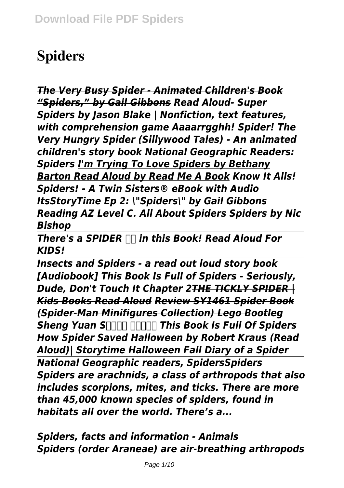# **Spiders**

*The Very Busy Spider - Animated Children's Book "Spiders," by Gail Gibbons Read Aloud- Super Spiders by Jason Blake | Nonfiction, text features, with comprehension game Aaaarrgghh! Spider! The Very Hungry Spider (Sillywood Tales) - An animated children's story book National Geographic Readers: Spiders I'm Trying To Love Spiders by Bethany Barton Read Aloud by Read Me A Book Know It Alls! Spiders! - A Twin Sisters® eBook with Audio ItsStoryTime Ep 2: \"Spiders\" by Gail Gibbons Reading AZ Level C. All About Spiders Spiders by Nic Bishop*

*There's a SPIDER in this Book! Read Aloud For KIDS!*

*Insects and Spiders - a read out loud story book [Audiobook] This Book Is Full of Spiders - Seriously, Dude, Don't Touch It Chapter 2THE TICKLY SPIDER | Kids Books Read Aloud Review SY1461 Spider Book (Spider-Man Minifigures Collection) Lego Bootleg Sheng Yuan S牌蜘蛛俠 樂高積木書 This Book Is Full Of Spiders How Spider Saved Halloween by Robert Kraus (Read Aloud)| Storytime Halloween Fall Diary of a Spider National Geographic readers, SpidersSpiders Spiders are arachnids, a class of arthropods that also includes scorpions, mites, and ticks. There are more than 45,000 known species of spiders, found in habitats all over the world. There's a...*

*Spiders, facts and information - Animals Spiders (order Araneae) are air-breathing arthropods*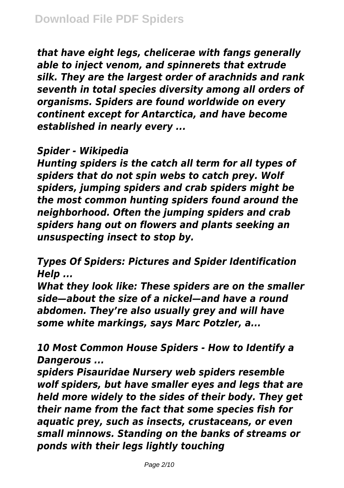*that have eight legs, chelicerae with fangs generally able to inject venom, and spinnerets that extrude silk. They are the largest order of arachnids and rank seventh in total species diversity among all orders of organisms. Spiders are found worldwide on every continent except for Antarctica, and have become established in nearly every ...*

#### *Spider - Wikipedia*

*Hunting spiders is the catch all term for all types of spiders that do not spin webs to catch prey. Wolf spiders, jumping spiders and crab spiders might be the most common hunting spiders found around the neighborhood. Often the jumping spiders and crab spiders hang out on flowers and plants seeking an unsuspecting insect to stop by.*

*Types Of Spiders: Pictures and Spider Identification Help ...*

*What they look like: These spiders are on the smaller side—about the size of a nickel—and have a round abdomen. They're also usually grey and will have some white markings, says Marc Potzler, a...*

*10 Most Common House Spiders - How to Identify a Dangerous ...*

*spiders Pisauridae Nursery web spiders resemble wolf spiders, but have smaller eyes and legs that are held more widely to the sides of their body. They get their name from the fact that some species fish for aquatic prey, such as insects, crustaceans, or even small minnows. Standing on the banks of streams or ponds with their legs lightly touching*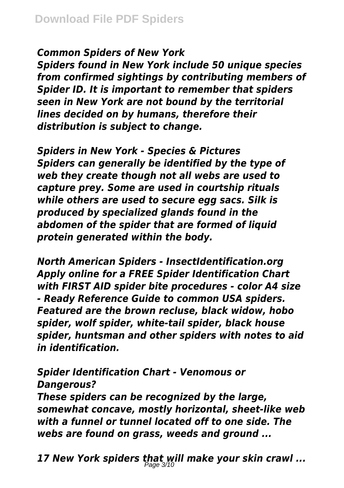## *Common Spiders of New York*

*Spiders found in New York include 50 unique species from confirmed sightings by contributing members of Spider ID. It is important to remember that spiders seen in New York are not bound by the territorial lines decided on by humans, therefore their distribution is subject to change.*

*Spiders in New York - Species & Pictures Spiders can generally be identified by the type of web they create though not all webs are used to capture prey. Some are used in courtship rituals while others are used to secure egg sacs. Silk is produced by specialized glands found in the abdomen of the spider that are formed of liquid protein generated within the body.*

*North American Spiders - InsectIdentification.org Apply online for a FREE Spider Identification Chart with FIRST AID spider bite procedures - color A4 size - Ready Reference Guide to common USA spiders. Featured are the brown recluse, black widow, hobo spider, wolf spider, white-tail spider, black house spider, huntsman and other spiders with notes to aid in identification.*

*Spider Identification Chart - Venomous or Dangerous?*

*These spiders can be recognized by the large, somewhat concave, mostly horizontal, sheet-like web with a funnel or tunnel located off to one side. The webs are found on grass, weeds and ground ...*

*17 New York spiders that will make your skin crawl ...* Page 3/10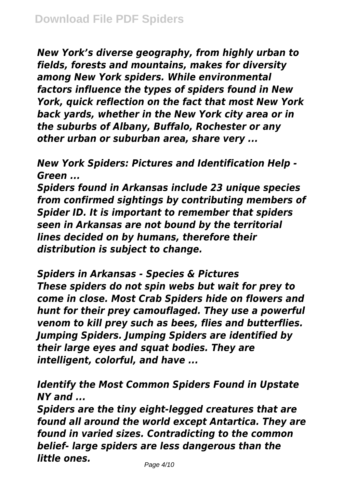*New York's diverse geography, from highly urban to fields, forests and mountains, makes for diversity among New York spiders. While environmental factors influence the types of spiders found in New York, quick reflection on the fact that most New York back yards, whether in the New York city area or in the suburbs of Albany, Buffalo, Rochester or any other urban or suburban area, share very ...*

*New York Spiders: Pictures and Identification Help - Green ...*

*Spiders found in Arkansas include 23 unique species from confirmed sightings by contributing members of Spider ID. It is important to remember that spiders seen in Arkansas are not bound by the territorial lines decided on by humans, therefore their distribution is subject to change.*

*Spiders in Arkansas - Species & Pictures These spiders do not spin webs but wait for prey to come in close. Most Crab Spiders hide on flowers and hunt for their prey camouflaged. They use a powerful venom to kill prey such as bees, flies and butterflies. Jumping Spiders. Jumping Spiders are identified by their large eyes and squat bodies. They are intelligent, colorful, and have ...*

*Identify the Most Common Spiders Found in Upstate NY and ...*

*Spiders are the tiny eight-legged creatures that are found all around the world except Antartica. They are found in varied sizes. Contradicting to the common belief- large spiders are less dangerous than the little ones.*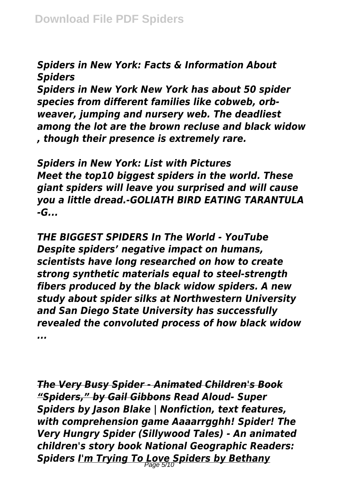## *Spiders in New York: Facts & Information About Spiders*

*Spiders in New York New York has about 50 spider species from different families like cobweb, orbweaver, jumping and nursery web. The deadliest among the lot are the brown recluse and black widow , though their presence is extremely rare.*

*Spiders in New York: List with Pictures Meet the top10 biggest spiders in the world. These giant spiders will leave you surprised and will cause you a little dread.-GOLIATH BIRD EATING TARANTULA -G...*

*THE BIGGEST SPIDERS In The World - YouTube Despite spiders' negative impact on humans, scientists have long researched on how to create strong synthetic materials equal to steel-strength fibers produced by the black widow spiders. A new study about spider silks at Northwestern University and San Diego State University has successfully revealed the convoluted process of how black widow ...*

*The Very Busy Spider - Animated Children's Book "Spiders," by Gail Gibbons Read Aloud- Super Spiders by Jason Blake | Nonfiction, text features, with comprehension game Aaaarrgghh! Spider! The Very Hungry Spider (Sillywood Tales) - An animated children's story book National Geographic Readers: Spiders I'm Trying To Love Spiders by Bethany* Page 5/10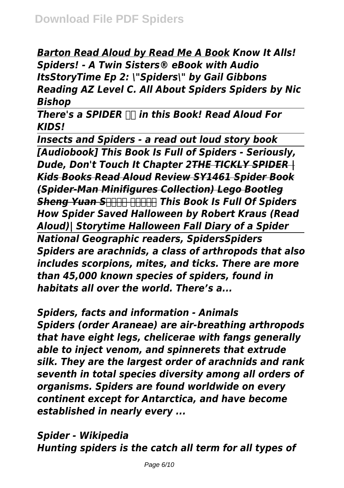*Barton Read Aloud by Read Me A Book Know It Alls! Spiders! - A Twin Sisters® eBook with Audio ItsStoryTime Ep 2: \"Spiders\" by Gail Gibbons Reading AZ Level C. All About Spiders Spiders by Nic Bishop*

*There's a SPIDER in this Book! Read Aloud For KIDS!*

*Insects and Spiders - a read out loud story book [Audiobook] This Book Is Full of Spiders - Seriously, Dude, Don't Touch It Chapter 2THE TICKLY SPIDER | Kids Books Read Aloud Review SY1461 Spider Book (Spider-Man Minifigures Collection) Lego Bootleg* **Sheng Yuan SHHH HHHH This Book Is Full Of Spiders** *How Spider Saved Halloween by Robert Kraus (Read Aloud)| Storytime Halloween Fall Diary of a Spider National Geographic readers, SpidersSpiders Spiders are arachnids, a class of arthropods that also includes scorpions, mites, and ticks. There are more than 45,000 known species of spiders, found in habitats all over the world. There's a...*

*Spiders, facts and information - Animals Spiders (order Araneae) are air-breathing arthropods that have eight legs, chelicerae with fangs generally able to inject venom, and spinnerets that extrude silk. They are the largest order of arachnids and rank seventh in total species diversity among all orders of organisms. Spiders are found worldwide on every continent except for Antarctica, and have become established in nearly every ...*

*Spider - Wikipedia Hunting spiders is the catch all term for all types of*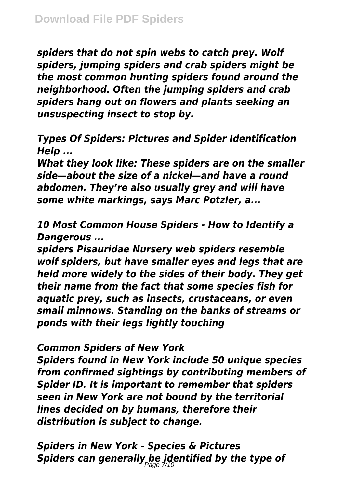*spiders that do not spin webs to catch prey. Wolf spiders, jumping spiders and crab spiders might be the most common hunting spiders found around the neighborhood. Often the jumping spiders and crab spiders hang out on flowers and plants seeking an unsuspecting insect to stop by.*

*Types Of Spiders: Pictures and Spider Identification Help ...*

*What they look like: These spiders are on the smaller side—about the size of a nickel—and have a round abdomen. They're also usually grey and will have some white markings, says Marc Potzler, a...*

*10 Most Common House Spiders - How to Identify a Dangerous ...*

*spiders Pisauridae Nursery web spiders resemble wolf spiders, but have smaller eyes and legs that are held more widely to the sides of their body. They get their name from the fact that some species fish for aquatic prey, such as insects, crustaceans, or even small minnows. Standing on the banks of streams or ponds with their legs lightly touching*

*Common Spiders of New York*

*Spiders found in New York include 50 unique species from confirmed sightings by contributing members of Spider ID. It is important to remember that spiders seen in New York are not bound by the territorial lines decided on by humans, therefore their distribution is subject to change.*

*Spiders in New York - Species & Pictures Spiders can generally be identified by the type of* Page 7/10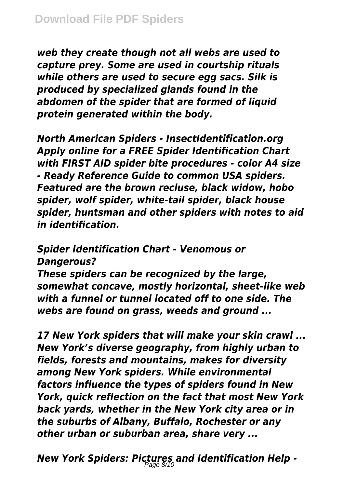*web they create though not all webs are used to capture prey. Some are used in courtship rituals while others are used to secure egg sacs. Silk is produced by specialized glands found in the abdomen of the spider that are formed of liquid protein generated within the body.*

*North American Spiders - InsectIdentification.org Apply online for a FREE Spider Identification Chart with FIRST AID spider bite procedures - color A4 size - Ready Reference Guide to common USA spiders. Featured are the brown recluse, black widow, hobo spider, wolf spider, white-tail spider, black house spider, huntsman and other spiders with notes to aid in identification.*

## *Spider Identification Chart - Venomous or Dangerous?*

*These spiders can be recognized by the large, somewhat concave, mostly horizontal, sheet-like web with a funnel or tunnel located off to one side. The webs are found on grass, weeds and ground ...*

*17 New York spiders that will make your skin crawl ... New York's diverse geography, from highly urban to fields, forests and mountains, makes for diversity among New York spiders. While environmental factors influence the types of spiders found in New York, quick reflection on the fact that most New York back yards, whether in the New York city area or in the suburbs of Albany, Buffalo, Rochester or any other urban or suburban area, share very ...*

*New York Spiders: Pictures and Identification Help -* Page 8/10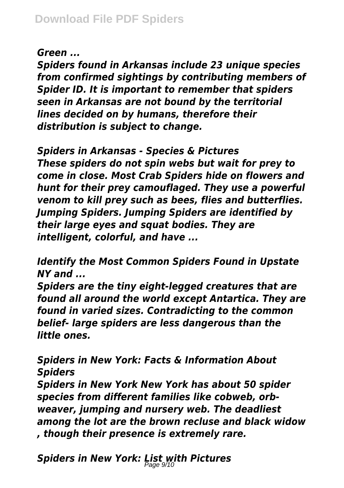#### *Green ...*

*Spiders found in Arkansas include 23 unique species from confirmed sightings by contributing members of Spider ID. It is important to remember that spiders seen in Arkansas are not bound by the territorial lines decided on by humans, therefore their distribution is subject to change.*

*Spiders in Arkansas - Species & Pictures These spiders do not spin webs but wait for prey to come in close. Most Crab Spiders hide on flowers and hunt for their prey camouflaged. They use a powerful venom to kill prey such as bees, flies and butterflies. Jumping Spiders. Jumping Spiders are identified by their large eyes and squat bodies. They are intelligent, colorful, and have ...*

*Identify the Most Common Spiders Found in Upstate NY and ...*

*Spiders are the tiny eight-legged creatures that are found all around the world except Antartica. They are found in varied sizes. Contradicting to the common belief- large spiders are less dangerous than the little ones.*

*Spiders in New York: Facts & Information About Spiders*

*Spiders in New York New York has about 50 spider species from different families like cobweb, orbweaver, jumping and nursery web. The deadliest among the lot are the brown recluse and black widow , though their presence is extremely rare.*

*Spiders in New York: List with Pictures* Page 9/10